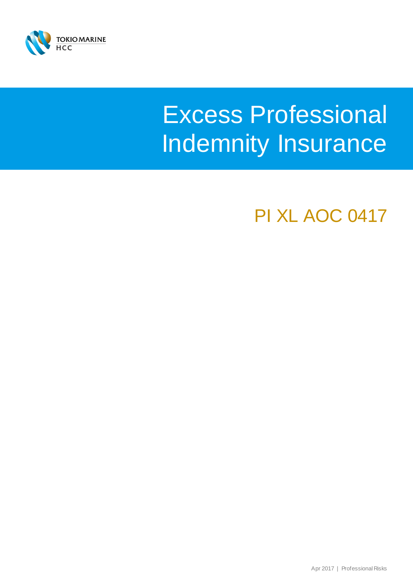

# Excess Professional Indemnity Insurance

PI XL AOC 0417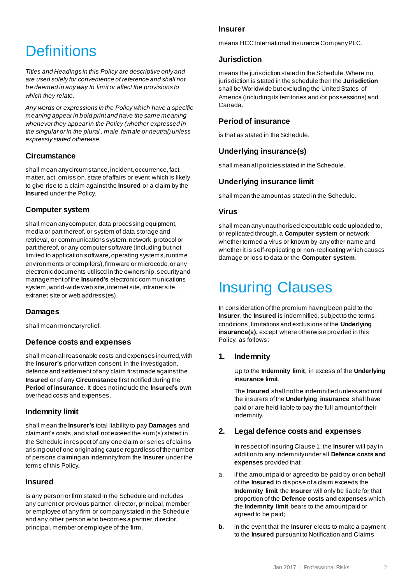# **Definitions**

*Titles and Headings in this Policy are descriptive only and are used solely for convenience of reference and shall not be deemed in any way to limit or affect the provisions to which they relate.*

*Any words or expressions in the Policy which have a specific meaning appear in bold print and have the same meaning whenever they appear in the Policy (whether expressed in the singular or in the plural , male, female or neutral) unless expressly stated otherwise.*

#### **Circumstance**

shall mean any circumstance, incident, occurrence, fact, matter, act, omission, state of affairs or event which is likely to give rise to a claim against the **Insured** or a claim by the **Insured** under the Policy.

#### **Computer system**

shall mean any computer, data processing equipment, media or part thereof, or system of data storage and retrieval, or communications system, network, protocol or part thereof, or any computer software (including but not limited to application software, operating systems, runtime environments or compilers), firmware or microcode, or any electronic documents utilised in the ownership, security and management of the **Insured's** electronic communications system, world-wide web site, internet site, intranet site, extranet site or web address(es).

#### **Damages**

shall mean monetary relief.

#### **Defence costs and expenses**

shall mean all reasonable costs and expenses incurred, with the **Insurer's** prior written consent, in the investigation, defence and settlement of any claim first made against the **Insured** or of any **Circumstance** first notified during the **Period of insurance**. It does not include the **Insured's** own overhead costs and expenses.

#### **Indemnity limit**

shall mean the **Insurer's** total liability to pay **Damages** and claimant's costs, and shall not exceed the sum(s) stated in the Schedule in respect of any one claim or series of claims arising out of one originating cause regardless of the number of persons claiming an indemnity from the **Insurer** under the terms of this Policy**.**

#### **Insured**

is any person or firm stated in the Schedule and includes any current or previous partner, director, principal, member or employee of any firm or company stated in the Schedule and any other person who becomes a partner, director, principal, member or employee of the firm.

#### **Insurer**

means HCC International Insurance Company PLC.

#### **Jurisdiction**

means the jurisdiction stated in the Schedule. Where no jurisdiction is stated in the schedule then the **Jurisdiction**  shall be Worldwide but excluding the United States of America (including its territories and /or possessions) and Canada.

#### **Period of insurance**

is that as stated in the Schedule.

#### **Underlying insurance(s)**

shall mean all policies stated in the Schedule.

#### **Underlying insurance limit**

shall mean the amount as stated in the Schedule.

#### **Virus**

shall mean any unauthorised executable code uploaded to, or replicated through, a **Computer system** or network whether termed a virus or known by any other name and whether it is self-replicating or non-replicating which causes damage or loss to data or the **Computer system**.

## Insuring Clauses

In consideration of the premium having been paid to the **Insurer**, the **Insured** is indemnified, subject to the terms, conditions, limitations and exclusions of the **Underlying insurance(s),** except where otherwise provided in this Policy, as follows:

#### **1. Indemnity**

Up to the **Indemnity limit**, in excess of the **Underlying insurance limit**.

The **Insured** shall not be indemnified unless and until the insurers of the **Underlying insurance** shall have paid or are held liable to pay the full amount of their indemnity.

#### **2. Legal defence costs and expenses**

In respect of Insuring Clause 1, the **Insurer** will pay in addition to any indemnity under all **Defence costs and expenses** provided that:

- a. if the amount paid or agreed to be paid by or on behalf of the **Insured** to dispose of a claim exceeds the **Indemnity limit** the **Insurer** will only be liable for that proportion of the **Defence costs and expenses** which the **Indemnity limit** bears to the amount paid or agreed to be paid;
- **b.** in the event that the **Insurer** elects to make a payment to the **Insured** pursuant to Notification and Claims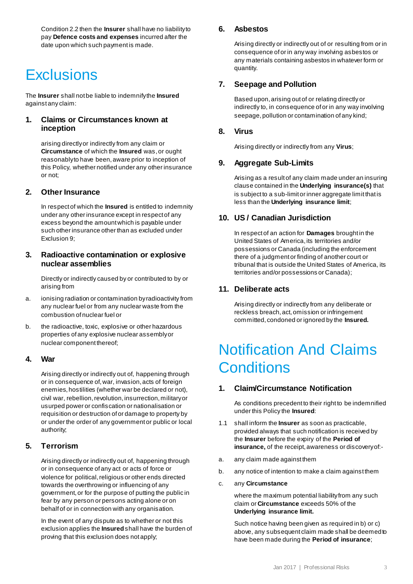Condition 2.2 then the **Insurer** shall have no liability to pay **Defence costs and expenses** incurred after the date upon which such payment is made.

### **Exclusions**

The **Insurer** shall not be liable to indemnify the **Insured**  against any claim:

#### **1. Claims or Circumstances known at inception**

arising directly or indirectly from any claim or **Circumstance** of which the **Insured** was, or ought reasonably to have been, aware prior to inception of this Policy, whether notified under any other insurance or not;

#### **2. Other Insurance**

In respect of which the **Insured** is entitled to indemnity under any other insurance except in respect of any excess beyond the amount which is payable under such other insurance other than as excluded under Exclusion 9;

#### **3. Radioactive contamination or explosive nuclear assemblies**

Directly or indirectly caused by or contributed to by or arising from

- a. ionising radiation or contamination by radioactivity from any nuclear fuel or from any nuclear waste from the combustion of nuclear fuel or
- b. the radioactive, toxic, explosive or other hazardous properties of any explosive nuclear assembly or nuclear component thereof;

#### **4. War**

Arising directly or indirectly out of, happening through or in consequence of, war, invasion, acts of foreign enemies, hostilities (whether war be declared or not), civil war, rebellion, revolution, insurrection, military or usurped power or confiscation or nationalisation or requisition or destruction of or damage to property by or under the order of any government or public or local authority;

#### **5. Terrorism**

Arising directly or indirectly out of, happening through or in consequence of any act or acts of force or violence for political, religious or other ends directed towards the overthrowing or influencing of any government, or for the purpose of putting the public in fear by any person or persons acting alone or on behalf of or in connection with any organisation.

In the event of any dispute as to whether or not this exclusion applies the **Insured**shall have the burden of proving that this exclusion does not apply;

#### **6. Asbestos**

Arising directly or indirectly out of or resulting from or in consequence of or in any way involving asbestos or any materials containing asbestos in whatever form or quantity.

#### **7. Seepage and Pollution**

Based upon, arising out of or relating directly or indirectly to, in consequence of or in any way involving seepage, pollution or contamination of any kind;

#### **8. Virus**

Arising directly or indirectly from any **Virus**;

#### **9. Aggregate Sub-Limits**

Arising as a result of any claim made under an insuring clause contained in the **Underlying insurance(s)** that is subject to a sub-limit or inner aggregate limit that is less than the **Underlying insurance limit**;

#### **10. US / Canadian Jurisdiction**

In respect of an action for **Damages** brought in the United States of America, its territories and/or possessions or Canada (including the enforcement there of a judgment or finding of another court or tribunal that is outside the United States of America, its territories and/or possessions or Canada);

#### **11. Deliberate acts**

Arising directly or indirectly from any deliberate or reckless breach, act, omission or infringement committed, condoned or ignored by the **Insured.**

### Notification And Claims **Conditions**

#### **1. Claim/Circumstance Notification**

As conditions precedent to their right to be indemnified under this Policy the **Insured**:

- 1.1 shall inform the **Insurer** as soon as practicable, provided always that such notification is received by the **Insurer** before the expiry of the **Period of insurance,** of the receipt, awareness or discovery of:-
- a. any claim made against them
- b. any notice of intention to make a claim against them
- c. any **Circumstance**

where the maximum potential liability from any such claim or **Circumstance** exceeds 50% of the **Underlying insurance limit.**

Such notice having been given as required in b) or c) above, any subsequent claim made shall be deemed to have been made during the **Period of insurance**;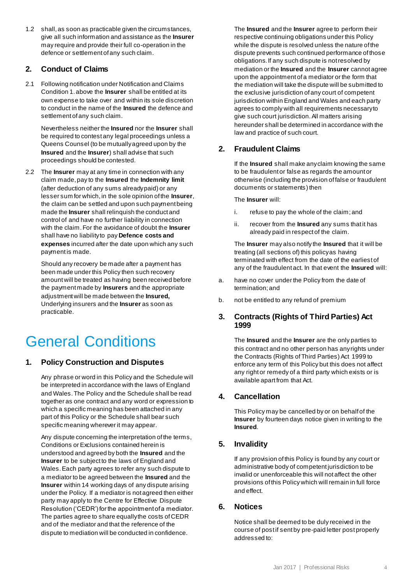1.2 shall, as soon as practicable given the circumstances, give all such information and assistance as the **Insurer** may require and provide their full co-operation in the defence or settlement of any such claim.

#### **2. Conduct of Claims**

2.1 Following notification under Notification and Claims Condition 1. above the **Insurer** shall be entitled at its own expense to take over and within its sole discretion to conduct in the name of the **Insured** the defence and settlement of any such claim.

Nevertheless neither the **Insured** nor the **Insurer** shall be required to contest any legal proceedings unless a Queens Counsel (to be mutually agreed upon by the **Insured** and the **Insurer**) shall advise that such proceedings should be contested.

2.2 The **Insurer** may at any time in connection with any claim made, pay to the **Insured** the **Indemnity limit** (after deduction of any sums already paid) or any lesser sum for which, in the sole opinion of the **Insurer**, the claim can be settled and upon such payment being made the **Insurer** shall relinquish the conduct and control of and have no further liability in connection with the claim. For the avoidance of doubt the **Insurer** shall have no liability to pay **Defence costs and expenses** incurred after the date upon which any such payment is made.

Should any recovery be made after a payment has been made under this Policy then such recovery amount will be treated as having been received before the payment made by **Insurers** and the appropriate adjustment will be made between the **Insured,**  Underlying insurers and the **Insurer** as soon as practicable.

# General Conditions

#### **1. Policy Construction and Disputes**

Any phrase or word in this Policy and the Schedule will be interpreted in accordance with the laws of England and Wales. The Policy and the Schedule shall be read together as one contract and any word or expression to which a specific meaning has been attached in any part of this Policy or the Schedule shall bear such specific meaning wherever it may appear.

Any dispute concerning the interpretation of the terms, Conditions or Exclusions contained herein is understood and agreed by both the **Insured** and the **Insurer** to be subject to the laws of England and Wales. Each party agrees to refer any such dispute to a mediator to be agreed between the **Insured** and the **Insurer** within 14 working days of any dispute arising under the Policy. If a mediator is not agreed then either party may apply to the Centre for Effective Dispute Resolution ('CEDR') for the appointment of a mediator. The parties agree to share equally the costs of CEDR and of the mediator and that the reference of the dispute to mediation will be conducted in confidence.

The **Insured** and the **Insurer** agree to perform their respective continuing obligations under this Policy while the dispute is resolved unless the nature of the dispute prevents such continued performance of those obligations. If any such dispute is not resolved by mediation or the **Insured** and the **Insurer** cannot agree upon the appointment of a mediator or the form that the mediation will take the dispute will be submitted to the exclusive jurisdiction of any court of competent jurisdiction within England and Wales and each party agrees to comply with all requirements necessary to give such court jurisdiction. All matters arising hereunder shall be determined in accordance with the law and practice of such court.

#### **2. Fraudulent Claims**

If the **Insured** shall make any claim knowing the same to be fraudulent or false as regards the amount or otherwise (including the provision of false or fraudulent documents or statements) then

The **Insurer** will:

- i. refuse to pay the whole of the claim; and
- ii. recover from the **Insured** any sums that it has already paid in respect of the claim.

The **Insurer** may also notify the **Insured** that it will be treating (all sections of) this policy as having terminated with effect from the date of the earliest of any of the fraudulent act. In that event the **Insured** will:

- a. have no cover under the Policy from the date of termination; and
- b. not be entitled to any refund of premium

#### **3. Contracts (Rights of Third Parties) Act 1999**

The **Insured** and the **Insurer** are the only parties to this contract and no other person has any rights under the Contracts (Rights of Third Parties) Act 1999 to enforce any term of this Policy but this does not affect any right or remedy of a third party which exists or is available apart from that Act.

#### **4. Cancellation**

This Policy may be cancelled by or on behalf of the **Insurer** by fourteen days notice given in writing to the **Insured**.

#### **5. Invalidity**

If any provision of this Policy is found by any court or administrative body of competent jurisdiction to be invalid or unenforceable this will not affect the other provisions of this Policy which will remain in full force and effect.

#### **6. Notices**

Notice shall be deemed to be duly received in the course of post if sent by pre-paid letter post properly addressed to: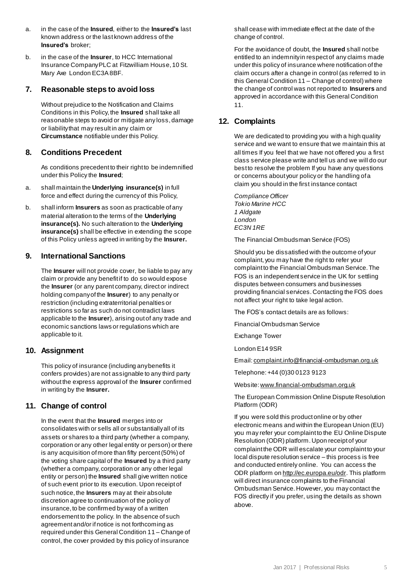- a. in the case of the **Insured**, either to the **Insured's** last known address or the last known address of the **Insured's** broker;
- b. in the case of the **Insurer**, to HCC International Insurance Company PLC at Fitzwilliam House, 10 St. Mary Axe London EC3A 8BF.

#### **7. Reasonable steps to avoid loss**

Without prejudice to the Notification and Claims Conditions in this Policy, the **Insured** shall take all reasonable steps to avoid or mitigate any loss, damage or liability that may result in any claim or **Circumstance** notifiable under this Policy.

#### **8. Conditions Precedent**

As conditions precedent to their right to be indemnified under this Policy the **Insured**;

- a. shall maintain the **Underlying insurance(s)** in full force and effect during the currency of this Policy,
- b. shall inform **Insurers** as soon as practicable of any material alteration to the terms of the **Underlying insurance(s).** No such alteration to the **Underlying insurance(s)** shall be effective in extending the scope of this Policy unless agreed in writing by the **Insurer.**

#### **9. International Sanctions**

The **Insurer** will not provide cover, be liable to pay any claim or provide any benefit if to do so would expose the **Insurer** (or any parent company, direct or indirect holding company of the **Insurer**) to any penalty or restriction (including extraterritorial penalties or restrictions so far as such do not contradict laws applicable to the **Insurer**), arising out of any trade and economic sanctions laws or regulations which are applicable to it.

#### **10. Assignment**

This policy of insurance (including any benefits it confers provides) are not assignable to any third party without the express approval of the **Insurer** confirmed in writing by the **Insurer.**

#### **11. Change of control**

In the event that the **Insured** merges into or consolidates with or sells all or substantially all of its assets or shares to a third party (whether a company, corporation or any other legal entity or person) or there is any acquisition of more than fifty percent (50%) of the voting share capital of the **Insured** by a third party (whether a company, corporation or any other legal entity or person) the **Insured** shall give written notice of such event prior to its execution. Upon receipt of such notice, the **Insurers** may at their absolute discretion agree to continuation of the policy of insurance, to be confirmed by way of a written endorsement to the policy. In the absence of such agreement and/or if notice is not forthcoming as required under this General Condition 11 – Change of control, the cover provided by this policy of insurance

shall cease with immediate effect at the date of the change of control.

For the avoidance of doubt, the **Insured** shall not be entitled to an indemnity in respect of any claims made under this policy of insurance where notification of the claim occurs after a change in control (as referred to in this General Condition 11 – Change of control) where the change of control was not reported to **Insurers** and approved in accordance with this General Condition 11.

#### **12. Complaints**

We are dedicated to providing you with a high quality service and we want to ensure that we maintain this at all times If you feel that we have not offered you a first class service please write and tell us and we will do our best to resolve the problem If you have any questions or concerns about your policy or the handling of a claim you should in the first instance contact

*Compliance Officer Tokio Marine HCC 1 Aldgate London EC3N 1RE*

The Financial Ombudsman Service (FOS)

Should you be dissatisfied with the outcome of your complaint, you may have the right to refer your complaint to the Financial Ombudsman Service. The FOS is an independent service in the UK for settling disputes between consumers and businesses providing financial services. Contacting the FOS does not affect your right to take legal action.

The FOS's contact details are as follows:

Financial Ombudsman Service

Exchange Tower

London E14 9SR

Email[: complaint.info@financial-ombudsman.org.uk](mailto:complaint.info@financial-ombudsman.org.uk)

Telephone: +44 (0)30 0123 9123

Website[: www.financial-ombudsman.org.uk](http://www.financial-ombudsman.org.uk/)

The European Commission Online Dispute Resolution Platform (ODR)

If you were sold this product online or by other electronic means and within the European Union (EU) you may refer your complaint to the EU Online Dispute Resolution (ODR) platform. Upon receipt of your complaint the ODR will escalate your complaint to your local dispute resolution service – this process is free and conducted entirely online. You can access the ODR platform o[n http://ec.europa.eu/odr.](http://ec.europa.eu/odr) This platform will direct insurance complaints to the Financial Ombudsman Service. However, you may contact the FOS directly if you prefer, using the details as shown above.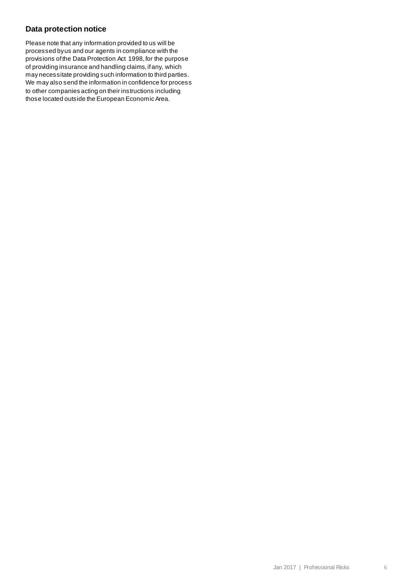#### **Data protection notice**

Please note that any information provided to us will be processed by us and our agents in compliance with the provisions of the Data Protection Act 1998, for the purpose of providing insurance and handling claims, if any, which may necessitate providing such information to third parties. We may also send the information in confidence for process to other companies acting on their instructions including those located outside the European Economic Area.